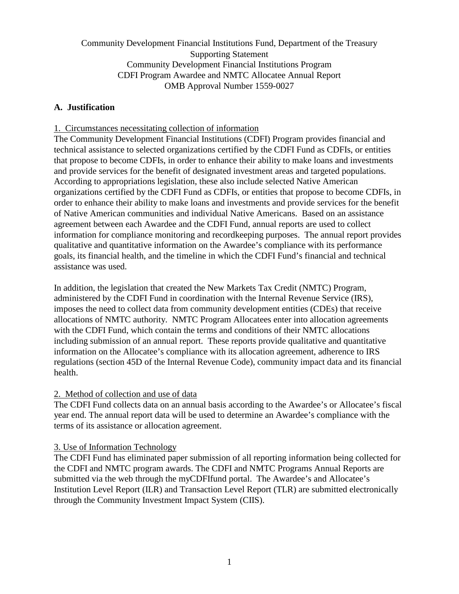# Community Development Financial Institutions Fund, Department of the Treasury Supporting Statement Community Development Financial Institutions Program CDFI Program Awardee and NMTC Allocatee Annual Report OMB Approval Number 1559-0027

## **A. Justification**

### 1. Circumstances necessitating collection of information

The Community Development Financial Institutions (CDFI) Program provides financial and technical assistance to selected organizations certified by the CDFI Fund as CDFIs, or entities that propose to become CDFIs, in order to enhance their ability to make loans and investments and provide services for the benefit of designated investment areas and targeted populations. According to appropriations legislation, these also include selected Native American organizations certified by the CDFI Fund as CDFIs, or entities that propose to become CDFIs, in order to enhance their ability to make loans and investments and provide services for the benefit of Native American communities and individual Native Americans. Based on an assistance agreement between each Awardee and the CDFI Fund, annual reports are used to collect information for compliance monitoring and recordkeeping purposes. The annual report provides qualitative and quantitative information on the Awardee's compliance with its performance goals, its financial health, and the timeline in which the CDFI Fund's financial and technical assistance was used.

In addition, the legislation that created the New Markets Tax Credit (NMTC) Program, administered by the CDFI Fund in coordination with the Internal Revenue Service (IRS), imposes the need to collect data from community development entities (CDEs) that receive allocations of NMTC authority. NMTC Program Allocatees enter into allocation agreements with the CDFI Fund, which contain the terms and conditions of their NMTC allocations including submission of an annual report. These reports provide qualitative and quantitative information on the Allocatee's compliance with its allocation agreement, adherence to IRS regulations (section 45D of the Internal Revenue Code), community impact data and its financial health.

### 2. Method of collection and use of data

The CDFI Fund collects data on an annual basis according to the Awardee's or Allocatee's fiscal year end. The annual report data will be used to determine an Awardee's compliance with the terms of its assistance or allocation agreement.

### 3. Use of Information Technology

The CDFI Fund has eliminated paper submission of all reporting information being collected for the CDFI and NMTC program awards. The CDFI and NMTC Programs Annual Reports are submitted via the web through the myCDFIfund portal. The Awardee's and Allocatee's Institution Level Report (ILR) and Transaction Level Report (TLR) are submitted electronically through the Community Investment Impact System (CIIS).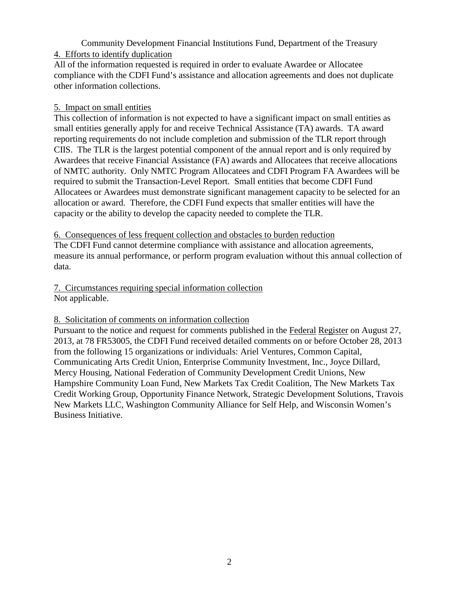Community Development Financial Institutions Fund, Department of the Treasury 4. Efforts to identify duplication

All of the information requested is required in order to evaluate Awardee or Allocatee compliance with the CDFI Fund's assistance and allocation agreements and does not duplicate other information collections.

## 5. Impact on small entities

This collection of information is not expected to have a significant impact on small entities as small entities generally apply for and receive Technical Assistance (TA) awards. TA award reporting requirements do not include completion and submission of the TLR report through CIIS. The TLR is the largest potential component of the annual report and is only required by Awardees that receive Financial Assistance (FA) awards and Allocatees that receive allocations of NMTC authority. Only NMTC Program Allocatees and CDFI Program FA Awardees will be required to submit the Transaction-Level Report. Small entities that become CDFI Fund Allocatees or Awardees must demonstrate significant management capacity to be selected for an allocation or award. Therefore, the CDFI Fund expects that smaller entities will have the capacity or the ability to develop the capacity needed to complete the TLR.

### 6. Consequences of less frequent collection and obstacles to burden reduction

The CDFI Fund cannot determine compliance with assistance and allocation agreements, measure its annual performance, or perform program evaluation without this annual collection of data.

#### 7. Circumstances requiring special information collection Not applicable.

## 8. Solicitation of comments on information collection

Pursuant to the notice and request for comments published in the Federal Register on August 27, 2013, at 78 FR53005, the CDFI Fund received detailed comments on or before October 28, 2013 from the following 15 organizations or individuals: Ariel Ventures, Common Capital, Communicating Arts Credit Union, Enterprise Community Investment, Inc., Joyce Dillard, Mercy Housing, National Federation of Community Development Credit Unions, New Hampshire Community Loan Fund, New Markets Tax Credit Coalition, The New Markets Tax Credit Working Group, Opportunity Finance Network, Strategic Development Solutions, Travois New Markets LLC, Washington Community Alliance for Self Help, and Wisconsin Women's Business Initiative.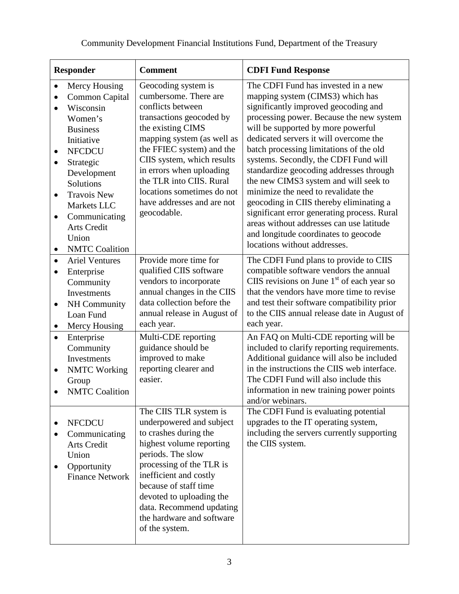| <b>Responder</b>                                                                                                                                                                                                                                                                                                                                                                | <b>Comment</b>                                                  |                                                                                                                                                                                                                                                                                       | <b>CDFI Fund Response</b>                                                                                                                                                                                                                                                                                                                                                                                                                                                                                                                                                                                                                                                |
|---------------------------------------------------------------------------------------------------------------------------------------------------------------------------------------------------------------------------------------------------------------------------------------------------------------------------------------------------------------------------------|-----------------------------------------------------------------|---------------------------------------------------------------------------------------------------------------------------------------------------------------------------------------------------------------------------------------------------------------------------------------|--------------------------------------------------------------------------------------------------------------------------------------------------------------------------------------------------------------------------------------------------------------------------------------------------------------------------------------------------------------------------------------------------------------------------------------------------------------------------------------------------------------------------------------------------------------------------------------------------------------------------------------------------------------------------|
| Mercy Housing<br>$\bullet$<br><b>Common Capital</b><br>$\bullet$<br>Wisconsin<br>$\bullet$<br>Women's<br><b>Business</b><br>Initiative<br><b>NFCDCU</b><br>$\bullet$<br>Strategic<br>$\bullet$<br>Development<br>Solutions<br><b>Travois New</b><br>$\bullet$<br>Markets LLC<br>Communicating<br>$\bullet$<br><b>Arts Credit</b><br>Union<br><b>NMTC</b> Coalition<br>$\bullet$ | conflicts between<br>the existing CIMS<br>geocodable.           | Geocoding system is<br>cumbersome. There are<br>transactions geocoded by<br>mapping system (as well as<br>the FFIEC system) and the<br>CIIS system, which results<br>in errors when uploading<br>the TLR into CIIS. Rural<br>locations sometimes do not<br>have addresses and are not | The CDFI Fund has invested in a new<br>mapping system (CIMS3) which has<br>significantly improved geocoding and<br>processing power. Because the new system<br>will be supported by more powerful<br>dedicated servers it will overcome the<br>batch processing limitations of the old<br>systems. Secondly, the CDFI Fund will<br>standardize geocoding addresses through<br>the new CIMS3 system and will seek to<br>minimize the need to revalidate the<br>geocoding in CIIS thereby eliminating a<br>significant error generating process. Rural<br>areas without addresses can use latitude<br>and longitude coordinates to geocode<br>locations without addresses. |
| <b>Ariel Ventures</b><br>$\bullet$<br>Enterprise<br>$\bullet$<br>Community<br>Investments<br>NH Community<br>$\bullet$<br>Loan Fund<br>Mercy Housing<br>$\bullet$<br>Enterprise<br>$\bullet$<br>Community<br>Investments<br><b>NMTC</b> Working<br>$\bullet$<br>Group<br><b>NMTC Coalition</b>                                                                                  | each year.<br>guidance should be<br>improved to make<br>easier. | Provide more time for<br>qualified CIIS software<br>vendors to incorporate<br>annual changes in the CIIS<br>data collection before the<br>annual release in August of<br>Multi-CDE reporting<br>reporting clearer and                                                                 | The CDFI Fund plans to provide to CIIS<br>compatible software vendors the annual<br>CIIS revisions on June $1st$ of each year so<br>that the vendors have more time to revise<br>and test their software compatibility prior<br>to the CIIS annual release date in August of<br>each year.<br>An FAQ on Multi-CDE reporting will be<br>included to clarify reporting requirements.<br>Additional guidance will also be included<br>in the instructions the CIIS web interface.<br>The CDFI Fund will also include this<br>information in new training power points<br>and/or webinars.                                                                                   |
| <b>NFCDCU</b><br>Communicating<br><b>Arts Credit</b><br>Union<br>Opportunity<br><b>Finance Network</b>                                                                                                                                                                                                                                                                          | periods. The slow<br>of the system.                             | The CIIS TLR system is<br>underpowered and subject<br>to crashes during the<br>highest volume reporting<br>processing of the TLR is<br>inefficient and costly<br>because of staff time<br>devoted to uploading the<br>data. Recommend updating<br>the hardware and software           | The CDFI Fund is evaluating potential<br>upgrades to the IT operating system,<br>including the servers currently supporting<br>the CIIS system.                                                                                                                                                                                                                                                                                                                                                                                                                                                                                                                          |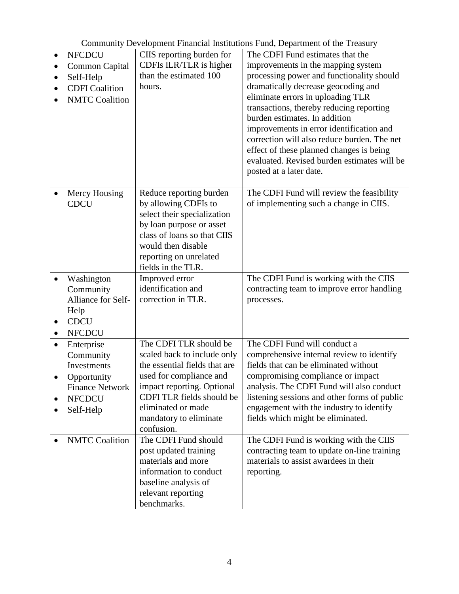|  | Community Development Financial Institutions Fund, Department of the Treasury |
|--|-------------------------------------------------------------------------------|
|--|-------------------------------------------------------------------------------|

| $\bullet$ | <b>NFCDCU</b><br><b>Common Capital</b><br>Self-Help<br><b>CDFI</b> Coalition<br><b>NMTC</b> Coalition                | CIIS reporting burden for<br>CDFIs ILR/TLR is higher<br>than the estimated 100<br>hours.                                                                                                                                                   | The CDFI Fund estimates that the<br>improvements in the mapping system<br>processing power and functionality should<br>dramatically decrease geocoding and<br>eliminate errors in uploading TLR<br>transactions, thereby reducing reporting<br>burden estimates. In addition<br>improvements in error identification and<br>correction will also reduce burden. The net<br>effect of these planned changes is being<br>evaluated. Revised burden estimates will be<br>posted at a later date. |
|-----------|----------------------------------------------------------------------------------------------------------------------|--------------------------------------------------------------------------------------------------------------------------------------------------------------------------------------------------------------------------------------------|-----------------------------------------------------------------------------------------------------------------------------------------------------------------------------------------------------------------------------------------------------------------------------------------------------------------------------------------------------------------------------------------------------------------------------------------------------------------------------------------------|
|           | Mercy Housing<br><b>CDCU</b>                                                                                         | Reduce reporting burden<br>by allowing CDFIs to<br>select their specialization<br>by loan purpose or asset<br>class of loans so that CIIS<br>would then disable<br>reporting on unrelated<br>fields in the TLR.                            | The CDFI Fund will review the feasibility<br>of implementing such a change in CIIS.                                                                                                                                                                                                                                                                                                                                                                                                           |
| $\bullet$ | Washington<br>Community<br>Alliance for Self-<br>Help<br><b>CDCU</b><br><b>NFCDCU</b>                                | Improved error<br>identification and<br>correction in TLR.                                                                                                                                                                                 | The CDFI Fund is working with the CIIS<br>contracting team to improve error handling<br>processes.                                                                                                                                                                                                                                                                                                                                                                                            |
| $\bullet$ | Enterprise<br>Community<br><b>Investments</b><br>Opportunity<br><b>Finance Network</b><br><b>NFCDCU</b><br>Self-Help | The CDFI TLR should be<br>scaled back to include only<br>the essential fields that are<br>used for compliance and<br>impact reporting. Optional<br>CDFI TLR fields should be<br>eliminated or made<br>mandatory to eliminate<br>confusion. | The CDFI Fund will conduct a<br>comprehensive internal review to identify<br>fields that can be eliminated without<br>compromising compliance or impact<br>analysis. The CDFI Fund will also conduct<br>listening sessions and other forms of public<br>engagement with the industry to identify<br>fields which might be eliminated.                                                                                                                                                         |
|           | <b>NMTC</b> Coalition                                                                                                | The CDFI Fund should<br>post updated training<br>materials and more<br>information to conduct<br>baseline analysis of<br>relevant reporting<br>benchmarks.                                                                                 | The CDFI Fund is working with the CIIS<br>contracting team to update on-line training<br>materials to assist awardees in their<br>reporting.                                                                                                                                                                                                                                                                                                                                                  |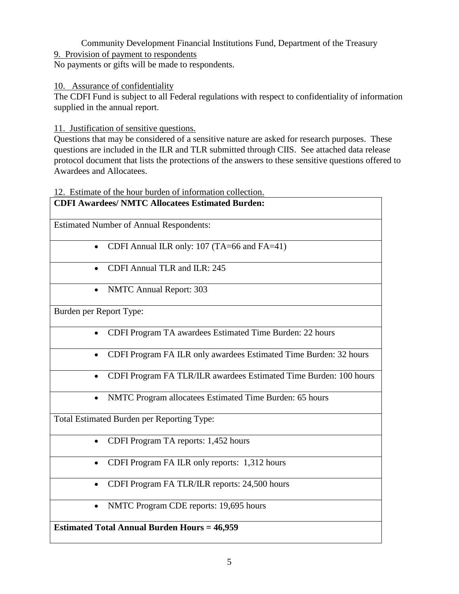# Community Development Financial Institutions Fund, Department of the Treasury

9. Provision of payment to respondents

No payments or gifts will be made to respondents.

### 10. Assurance of confidentiality

The CDFI Fund is subject to all Federal regulations with respect to confidentiality of information supplied in the annual report.

11. Justification of sensitive questions.

Questions that may be considered of a sensitive nature are asked for research purposes. These questions are included in the ILR and TLR submitted through CIIS. See attached data release protocol document that lists the protections of the answers to these sensitive questions offered to Awardees and Allocatees.

## 12. Estimate of the hour burden of information collection.

| <b>CDFI Awardees/ NMTC Allocatees Estimated Burden:</b>                        |  |  |  |  |  |
|--------------------------------------------------------------------------------|--|--|--|--|--|
|                                                                                |  |  |  |  |  |
|                                                                                |  |  |  |  |  |
| <b>Estimated Number of Annual Respondents:</b>                                 |  |  |  |  |  |
|                                                                                |  |  |  |  |  |
| CDFI Annual ILR only: 107 (TA=66 and FA=41)<br>$\bullet$                       |  |  |  |  |  |
|                                                                                |  |  |  |  |  |
| CDFI Annual TLR and ILR: 245                                                   |  |  |  |  |  |
| $\bullet$                                                                      |  |  |  |  |  |
|                                                                                |  |  |  |  |  |
| <b>NMTC Annual Report: 303</b>                                                 |  |  |  |  |  |
|                                                                                |  |  |  |  |  |
| Burden per Report Type:                                                        |  |  |  |  |  |
|                                                                                |  |  |  |  |  |
| CDFI Program TA awardees Estimated Time Burden: 22 hours<br>$\bullet$          |  |  |  |  |  |
|                                                                                |  |  |  |  |  |
|                                                                                |  |  |  |  |  |
| CDFI Program FA ILR only awardees Estimated Time Burden: 32 hours<br>$\bullet$ |  |  |  |  |  |
|                                                                                |  |  |  |  |  |
| CDFI Program FA TLR/ILR awardees Estimated Time Burden: 100 hours<br>$\bullet$ |  |  |  |  |  |
|                                                                                |  |  |  |  |  |
|                                                                                |  |  |  |  |  |
| NMTC Program allocatees Estimated Time Burden: 65 hours                        |  |  |  |  |  |
|                                                                                |  |  |  |  |  |
| Total Estimated Burden per Reporting Type:                                     |  |  |  |  |  |
|                                                                                |  |  |  |  |  |
| CDFI Program TA reports: 1,452 hours<br>$\bullet$                              |  |  |  |  |  |
|                                                                                |  |  |  |  |  |
|                                                                                |  |  |  |  |  |
| CDFI Program FA ILR only reports: 1,312 hours<br>$\bullet$                     |  |  |  |  |  |
|                                                                                |  |  |  |  |  |
| CDFI Program FA TLR/ILR reports: 24,500 hours<br>$\bullet$                     |  |  |  |  |  |
|                                                                                |  |  |  |  |  |
| NMTC Program CDE reports: 19,695 hours                                         |  |  |  |  |  |
|                                                                                |  |  |  |  |  |
|                                                                                |  |  |  |  |  |
| <b>Estimated Total Annual Burden Hours = 46,959</b>                            |  |  |  |  |  |